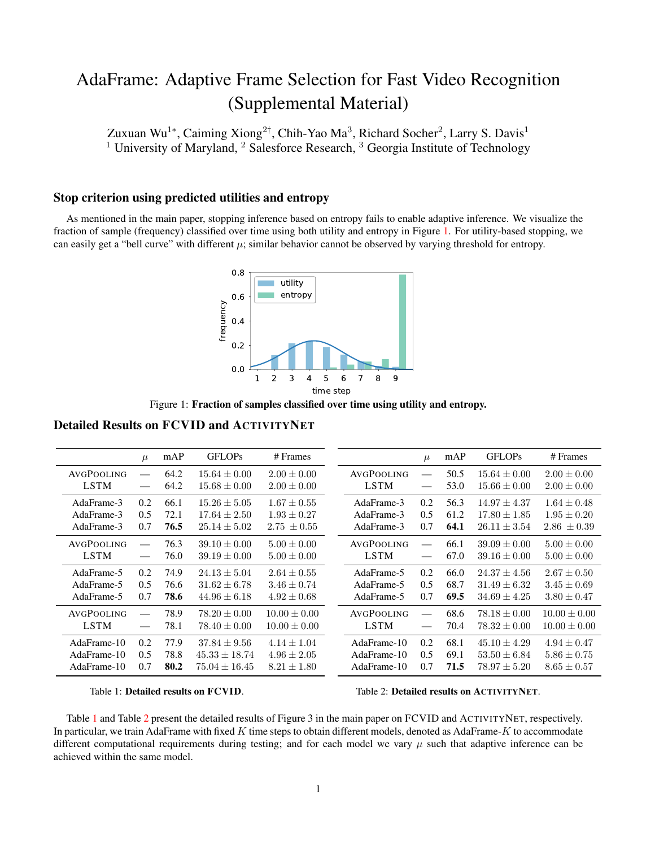## AdaFrame: Adaptive Frame Selection for Fast Video Recognition (Supplemental Material)

Zuxuan Wu<sup>1∗</sup>, Caiming Xiong<sup>2†</sup>, Chih-Yao Ma<sup>3</sup>, Richard Socher<sup>2</sup>, Larry S. Davis<sup>1</sup> <sup>1</sup> University of Maryland, <sup>2</sup> Salesforce Research, <sup>3</sup> Georgia Institute of Technology

## Stop criterion using predicted utilities and entropy

<span id="page-0-0"></span>As mentioned in the main paper, stopping inference based on entropy fails to enable adaptive inference. We visualize the fraction of sample (frequency) classified over time using both utility and entropy in Figure [1.](#page-0-0) For utility-based stopping, we can easily get a "bell curve" with different  $\mu$ ; similar behavior cannot be observed by varying threshold for entropy.



Figure 1: Fraction of samples classified over time using utility and entropy.

Detailed Results on FCVID and ACTIVITYNET

<span id="page-0-1"></span>

|                           | $\mu$                       | mAP  | <b>GFLOPs</b>                        | # Frames                           |                           | $\mu$           | mAP  | <b>GFLOPs</b>                        | # Frames                           |
|---------------------------|-----------------------------|------|--------------------------------------|------------------------------------|---------------------------|-----------------|------|--------------------------------------|------------------------------------|
| AVGPOOLING<br><b>LSTM</b> | $\equiv$                    | 64.2 | $15.64 \pm 0.00$<br>$15.68 \pm 0.00$ | $2.00 \pm 0.00$<br>$2.00 \pm 0.00$ | AVGPOOLING<br><b>LSTM</b> |                 | 50.5 | $15.64 \pm 0.00$<br>$15.66 \pm 0.00$ | $2.00 \pm 0.00$<br>$2.00 \pm 0.00$ |
|                           | $\overbrace{\hspace{27mm}}$ | 64.2 |                                      |                                    |                           | $\qquad \qquad$ | 53.0 |                                      |                                    |
| AdaFrame-3                | 0.2                         | 66.1 | $15.26 \pm 5.05$                     | $1.67 \pm 0.55$                    | AdaFrame-3                | $0.2^{\circ}$   | 56.3 | $14.97 \pm 4.37$                     | $1.64 \pm 0.48$                    |
| AdaFrame-3                | 0.5                         | 72.1 | $17.64 \pm 2.50$                     | $1.93 \pm 0.27$                    | AdaFrame-3                | 0.5             | 61.2 | $17.80 \pm 1.85$                     | $1.95 \pm 0.20$                    |
| AdaFrame-3                | 0.7                         | 76.5 | $25.14 \pm 5.02$                     | $2.75 \pm 0.55$                    | AdaFrame-3                | 0.7             | 64.1 | $26.11 \pm 3.54$                     | $2.86 \pm 0.39$                    |
| AVGPOOLING                | $\qquad \qquad =$           | 76.3 | $39.10 \pm 0.00$                     | $5.00 \pm 0.00$                    | <b>AVGPOOLING</b>         |                 | 66.1 | $39.09 \pm 0.00$                     | $5.00 \pm 0.00$                    |
| <b>LSTM</b>               | $\qquad \qquad$             | 76.0 | $39.19 \pm 0.00$                     | $5.00 \pm 0.00$                    | <b>LSTM</b>               |                 | 67.0 | $39.16 \pm 0.00$                     | $5.00 \pm 0.00$                    |
| AdaFrame-5                | 0.2                         | 74.9 | $24.13 \pm 5.04$                     | $2.64 \pm 0.55$                    | AdaFrame-5                | $0.2^{\circ}$   | 66.0 | $24.37 + 4.56$                       | $2.67 \pm 0.50$                    |
| AdaFrame-5                | 0.5                         | 76.6 | $31.62 \pm 6.78$                     | $3.46 \pm 0.74$                    | AdaFrame-5                | $0.5^{\circ}$   | 68.7 | $31.49 \pm 6.32$                     | $3.45 \pm 0.69$                    |
| AdaFrame-5                | 0.7                         | 78.6 | $44.96 \pm 6.18$                     | $4.92 \pm 0.68$                    | AdaFrame-5                | 0.7             | 69.5 | $34.69 \pm 4.25$                     | $3.80 \pm 0.47$                    |
| AVGPOOLING                | $\qquad \qquad$             | 78.9 | $78.20 \pm 0.00$                     | $10.00 \pm 0.00$                   | AVGPOOLING                |                 | 68.6 | $78.18 \pm 0.00$                     | $10.00 \pm 0.00$                   |
| <b>LSTM</b>               |                             | 78.1 | $78.40 \pm 0.00$                     | $10.00 \pm 0.00$                   | <b>LSTM</b>               |                 | 70.4 | $78.32 \pm 0.00$                     | $10.00 \pm 0.00$                   |
| AdaFrame-10               | 0.2                         | 77.9 | $37.84 \pm 9.56$                     | $4.14 + 1.04$                      | AdaFrame-10               | 0.2             | 68.1 | $45.10 + 4.29$                       | $4.94 \pm 0.47$                    |
| AdaFrame-10               | 0.5                         | 78.8 | $45.33 \pm 18.74$                    | $4.96 \pm 2.05$                    | AdaFrame-10               | 0.5             | 69.1 | $53.50 \pm 6.84$                     | $5.86 \pm 0.75$                    |
| AdaFrame-10               | 0.7                         | 80.2 | $75.04 \pm 16.45$                    | $8.21 \pm 1.80$                    | AdaFrame-10               | 0.7             | 71.5 | $78.97 \pm 5.20$                     | $8.65 \pm 0.57$                    |

Table 1: Detailed results on FCVID.

Table 2: Detailed results on ACTIVITYNET.

Table [1](#page-0-1) and Table [2](#page-0-1) present the detailed results of Figure 3 in the main paper on FCVID and ACTIVITYNET, respectively. In particular, we train AdaFrame with fixed K time steps to obtain different models, denoted as AdaFrame-K to accommodate different computational requirements during testing; and for each model we vary  $\mu$  such that adaptive inference can be achieved within the same model.